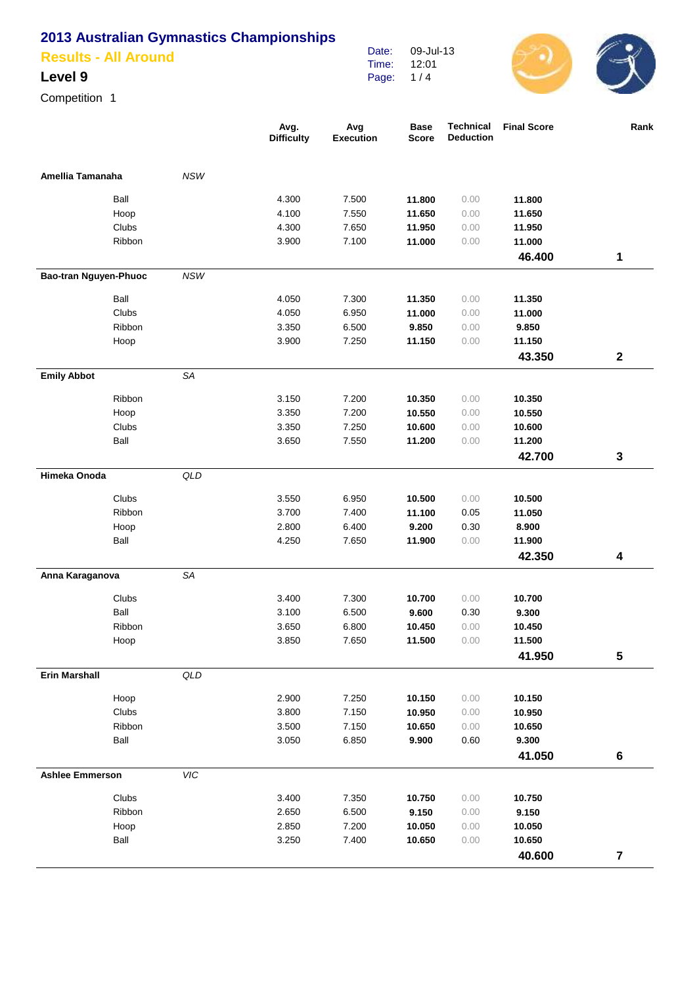**Results - All Around**

### **Level 9**

Competition 1

|                        |            | Avg.<br><b>Difficulty</b> | Avg<br><b>Execution</b> | <b>Base</b><br><b>Score</b> | <b>Technical</b><br><b>Deduction</b> | <b>Final Score</b> | Rank                    |
|------------------------|------------|---------------------------|-------------------------|-----------------------------|--------------------------------------|--------------------|-------------------------|
| Amellia Tamanaha       | <b>NSW</b> |                           |                         |                             |                                      |                    |                         |
| Ball                   |            | 4.300                     | 7.500                   | 11.800                      | 0.00                                 | 11.800             |                         |
| Hoop                   |            | 4.100                     | 7.550                   | 11.650                      | 0.00                                 | 11.650             |                         |
| Clubs                  |            | 4.300                     | 7.650                   | 11.950                      | 0.00                                 | 11.950             |                         |
| Ribbon                 |            | 3.900                     | 7.100                   | 11.000                      | 0.00                                 | 11.000             |                         |
|                        |            |                           |                         |                             |                                      | 46.400             | 1                       |
| Bao-tran Nguyen-Phuoc  | <b>NSW</b> |                           |                         |                             |                                      |                    |                         |
| Ball                   |            | 4.050                     | 7.300                   | 11.350                      | 0.00                                 | 11.350             |                         |
| Clubs                  |            | 4.050                     | 6.950                   | 11.000                      | 0.00                                 | 11.000             |                         |
| Ribbon                 |            | 3.350                     | 6.500                   | 9.850                       | 0.00                                 | 9.850              |                         |
| Hoop                   |            | 3.900                     | 7.250                   | 11.150                      | 0.00                                 | 11.150             |                         |
|                        |            |                           |                         |                             |                                      | 43.350             | $\mathbf 2$             |
| <b>Emily Abbot</b>     | SA         |                           |                         |                             |                                      |                    |                         |
| Ribbon                 |            | 3.150                     | 7.200                   | 10.350                      | 0.00                                 | 10.350             |                         |
| Hoop                   |            | 3.350                     | 7.200                   | 10.550                      | 0.00                                 | 10.550             |                         |
| Clubs                  |            | 3.350                     | 7.250                   | 10.600                      | 0.00                                 | 10.600             |                         |
| Ball                   |            | 3.650                     | 7.550                   | 11.200                      | 0.00                                 | 11.200             |                         |
|                        |            |                           |                         |                             |                                      | 42.700             | 3                       |
| Himeka Onoda           | QLD        |                           |                         |                             |                                      |                    |                         |
| Clubs                  |            | 3.550                     | 6.950                   | 10.500                      | 0.00                                 | 10.500             |                         |
| Ribbon                 |            | 3.700                     | 7.400                   | 11.100                      | 0.05                                 | 11.050             |                         |
| Hoop                   |            | 2.800                     | 6.400                   | 9.200                       | 0.30                                 | 8.900              |                         |
| Ball                   |            | 4.250                     | 7.650                   | 11.900                      | 0.00                                 | 11.900             |                         |
|                        |            |                           |                         |                             |                                      | 42.350             | 4                       |
| Anna Karaganova        | SA         |                           |                         |                             |                                      |                    |                         |
| Clubs                  |            | 3.400                     | 7.300                   | 10.700                      | 0.00                                 | 10.700             |                         |
| Ball                   |            | 3.100                     | 6.500                   | 9.600                       | 0.30                                 | 9.300              |                         |
| Ribbon                 |            | 3.650                     | 6.800                   | 10.450                      | 0.00                                 | 10.450             |                         |
| Hoop                   |            | 3.850                     | 7.650                   | 11.500                      | 0.00                                 | 11.500             |                         |
|                        |            |                           |                         |                             |                                      | 41.950             | 5                       |
| <b>Erin Marshall</b>   | QLD        |                           |                         |                             |                                      |                    |                         |
| Hoop                   |            | 2.900                     | 7.250                   | 10.150                      | 0.00                                 | 10.150             |                         |
| Clubs                  |            | 3.800                     | 7.150                   | 10.950                      | 0.00                                 | 10.950             |                         |
| Ribbon                 |            | 3.500                     | 7.150                   | 10.650                      | 0.00                                 | 10.650             |                         |
| Ball                   |            | 3.050                     | 6.850                   | 9.900                       | $0.60\,$                             | 9.300              |                         |
|                        |            |                           |                         |                             |                                      | 41.050             | $\bf 6$                 |
| <b>Ashlee Emmerson</b> | VIC        |                           |                         |                             |                                      |                    |                         |
| Clubs                  |            | 3.400                     | 7.350                   | 10.750                      | 0.00                                 | 10.750             |                         |
| Ribbon                 |            | 2.650                     | 6.500                   | 9.150                       | 0.00                                 | 9.150              |                         |
| Hoop                   |            | 2.850                     | 7.200                   | 10.050                      | 0.00                                 | 10.050             |                         |
| Ball                   |            | 3.250                     | 7.400                   | 10.650                      | 0.00                                 | 10.650             |                         |
|                        |            |                           |                         |                             |                                      | 40.600             | $\overline{\mathbf{7}}$ |

Date: Time: Page: 09-Jul-13 12:01 1 / 4

 $\bigcirc$  (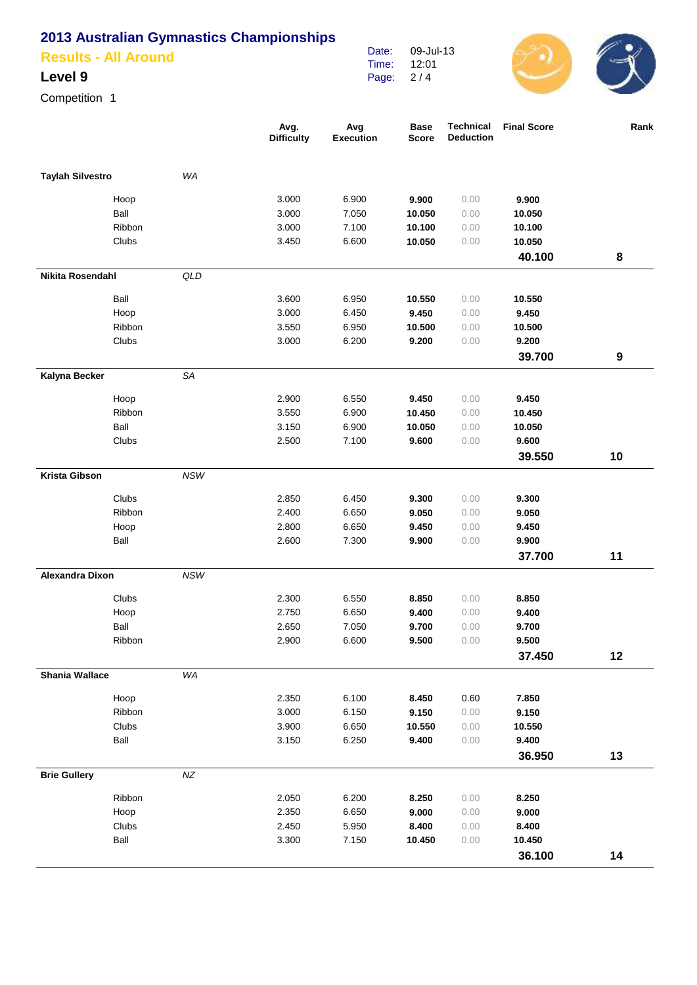**Results - All Around**

### **Level 9**

Competition 1

|                         |        |            | Avg.<br><b>Difficulty</b> | Avg<br><b>Execution</b> | <b>Base</b><br><b>Score</b> | <b>Technical</b><br><b>Deduction</b> | <b>Final Score</b> | Rank             |
|-------------------------|--------|------------|---------------------------|-------------------------|-----------------------------|--------------------------------------|--------------------|------------------|
| <b>Taylah Silvestro</b> |        | WA         |                           |                         |                             |                                      |                    |                  |
|                         | Hoop   |            | 3.000                     | 6.900                   | 9.900                       | 0.00                                 | 9.900              |                  |
|                         | Ball   |            | 3.000                     | 7.050                   | 10.050                      | 0.00                                 | 10.050             |                  |
|                         | Ribbon |            | 3.000                     | 7.100                   | 10.100                      | 0.00                                 | 10.100             |                  |
|                         | Clubs  |            | 3.450                     | 6.600                   | 10.050                      | 0.00                                 | 10.050             |                  |
|                         |        |            |                           |                         |                             |                                      | 40.100             | 8                |
| Nikita Rosendahl        |        | QLD        |                           |                         |                             |                                      |                    |                  |
|                         | Ball   |            | 3.600                     | 6.950                   | 10.550                      | 0.00                                 | 10.550             |                  |
|                         | Hoop   |            | 3.000                     | 6.450                   | 9.450                       | 0.00                                 | 9.450              |                  |
|                         | Ribbon |            | 3.550                     | 6.950                   | 10.500                      | 0.00                                 | 10.500             |                  |
|                         | Clubs  |            | 3.000                     | 6.200                   | 9.200                       | 0.00                                 | 9.200              |                  |
|                         |        |            |                           |                         |                             |                                      | 39.700             | $\boldsymbol{9}$ |
| Kalyna Becker           |        | SA         |                           |                         |                             |                                      |                    |                  |
|                         | Hoop   |            | 2.900                     | 6.550                   | 9.450                       | 0.00                                 | 9.450              |                  |
|                         | Ribbon |            | 3.550                     | 6.900                   | 10.450                      | 0.00                                 | 10.450             |                  |
|                         | Ball   |            | 3.150                     | 6.900                   | 10.050                      | 0.00                                 | 10.050             |                  |
|                         | Clubs  |            | 2.500                     | 7.100                   | 9.600                       | 0.00                                 | 9.600              |                  |
|                         |        |            |                           |                         |                             |                                      | 39.550             | 10               |
| <b>Krista Gibson</b>    |        | <b>NSW</b> |                           |                         |                             |                                      |                    |                  |
|                         | Clubs  |            | 2.850                     | 6.450                   | 9.300                       | 0.00                                 | 9.300              |                  |
|                         | Ribbon |            | 2.400                     | 6.650                   | 9.050                       | 0.00                                 | 9.050              |                  |
|                         | Hoop   |            | 2.800                     | 6.650                   | 9.450                       | 0.00                                 | 9.450              |                  |
|                         | Ball   |            | 2.600                     | 7.300                   | 9.900                       | 0.00                                 | 9.900              |                  |
|                         |        |            |                           |                         |                             |                                      | 37.700             | 11               |
| <b>Alexandra Dixon</b>  |        | <b>NSW</b> |                           |                         |                             |                                      |                    |                  |
|                         | Clubs  |            | 2.300                     | 6.550                   | 8.850                       | 0.00                                 | 8.850              |                  |
|                         | Hoop   |            | 2.750                     | 6.650                   | 9.400                       | 0.00                                 | 9.400              |                  |
|                         | Ball   |            | 2.650                     | 7.050                   | 9.700                       | 0.00                                 | 9.700              |                  |
|                         | Ribbon |            | 2.900                     | 6.600                   | 9.500                       | 0.00                                 | 9.500              |                  |
|                         |        |            |                           |                         |                             |                                      | 37.450             | 12               |
| <b>Shania Wallace</b>   |        | WA         |                           |                         |                             |                                      |                    |                  |
|                         | Hoop   |            | 2.350                     | 6.100                   | 8.450                       | 0.60                                 | 7.850              |                  |
|                         | Ribbon |            | 3.000                     | 6.150                   | 9.150                       | 0.00                                 | 9.150              |                  |
|                         | Clubs  |            | 3.900                     | 6.650                   | 10.550                      | 0.00                                 | 10.550             |                  |
|                         | Ball   |            | 3.150                     | 6.250                   | 9.400                       | 0.00                                 | 9.400              |                  |
|                         |        |            |                           |                         |                             |                                      | 36.950             | 13               |
| <b>Brie Gullery</b>     |        | $N\!Z$     |                           |                         |                             |                                      |                    |                  |
|                         | Ribbon |            | 2.050                     | 6.200                   | 8.250                       | 0.00                                 | 8.250              |                  |
|                         | Hoop   |            | 2.350                     | 6.650                   | 9.000                       | 0.00                                 | 9.000              |                  |
|                         | Clubs  |            | 2.450                     | 5.950                   | 8.400                       | 0.00                                 | 8.400              |                  |
|                         | Ball   |            | 3.300                     | 7.150                   | 10.450                      | 0.00                                 | 10.450             |                  |
|                         |        |            |                           |                         |                             |                                      | 36.100             | 14               |

Date: Time: Page: 09-Jul-13 12:01 2 / 4

 $\bigodot$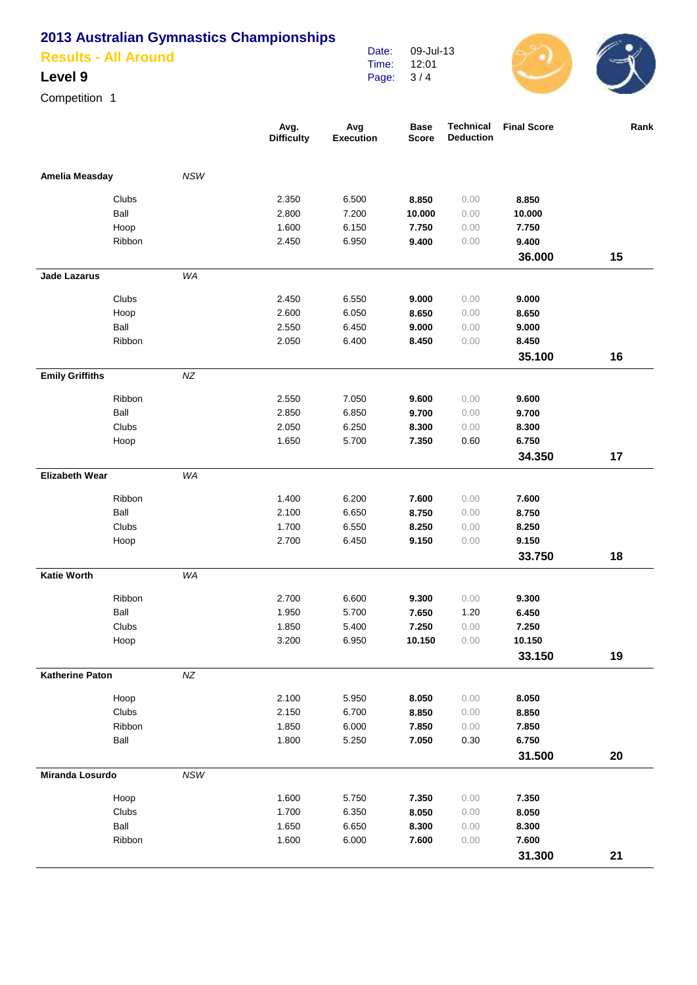**Results - All Around**

### **Level 9**

Competition 1

|                        |        |            | Avg.<br><b>Difficulty</b> | Avg<br><b>Execution</b> | <b>Base</b><br><b>Score</b> | Technical<br><b>Deduction</b> | <b>Final Score</b> | Rank |
|------------------------|--------|------------|---------------------------|-------------------------|-----------------------------|-------------------------------|--------------------|------|
| Amelia Measday         |        | <b>NSW</b> |                           |                         |                             |                               |                    |      |
|                        | Clubs  |            | 2.350                     | 6.500                   | 8.850                       | 0.00                          | 8.850              |      |
|                        | Ball   |            | 2.800                     | 7.200                   | 10.000                      | 0.00                          | 10.000             |      |
|                        | Hoop   |            | 1.600                     | 6.150                   | 7.750                       | 0.00                          | 7.750              |      |
|                        | Ribbon |            | 2.450                     | 6.950                   | 9.400                       | 0.00                          | 9.400              |      |
|                        |        |            |                           |                         |                             |                               | 36.000             | 15   |
| <b>Jade Lazarus</b>    |        | WA         |                           |                         |                             |                               |                    |      |
|                        | Clubs  |            | 2.450                     | 6.550                   | 9.000                       | 0.00                          | 9.000              |      |
|                        | Hoop   |            | 2.600                     | 6.050                   | 8.650                       | 0.00                          | 8.650              |      |
|                        | Ball   |            | 2.550                     | 6.450                   | 9.000                       | 0.00                          | 9.000              |      |
|                        | Ribbon |            | 2.050                     | 6.400                   | 8.450                       | 0.00                          | 8.450              |      |
|                        |        |            |                           |                         |                             |                               | 35.100             | 16   |
| <b>Emily Griffiths</b> |        | NZ         |                           |                         |                             |                               |                    |      |
|                        | Ribbon |            | 2.550                     | 7.050                   | 9.600                       | 0.00                          | 9.600              |      |
|                        | Ball   |            | 2.850                     | 6.850                   | 9.700                       | 0.00                          | 9.700              |      |
|                        | Clubs  |            | 2.050                     | 6.250                   | 8.300                       | 0.00                          | 8.300              |      |
|                        | Hoop   |            | 1.650                     | 5.700                   | 7.350                       | 0.60                          | 6.750              |      |
|                        |        |            |                           |                         |                             |                               | 34.350             | 17   |
| <b>Elizabeth Wear</b>  |        | WA         |                           |                         |                             |                               |                    |      |
|                        | Ribbon |            | 1.400                     | 6.200                   | 7.600                       | 0.00                          | 7.600              |      |
|                        | Ball   |            | 2.100                     | 6.650                   | 8.750                       | 0.00                          | 8.750              |      |
|                        | Clubs  |            | 1.700                     | 6.550                   | 8.250                       | 0.00                          | 8.250              |      |
|                        | Hoop   |            | 2.700                     | 6.450                   | 9.150                       | 0.00                          | 9.150              |      |
|                        |        |            |                           |                         |                             |                               | 33.750             | 18   |
| <b>Katie Worth</b>     |        | WA         |                           |                         |                             |                               |                    |      |
|                        | Ribbon |            | 2.700                     | 6.600                   | 9.300                       | 0.00                          | 9.300              |      |
|                        | Ball   |            | 1.950                     | 5.700                   | 7.650                       | 1.20                          | 6.450              |      |
|                        | Clubs  |            | 1.850                     | 5.400                   | 7.250                       | 0.00                          | 7.250              |      |
|                        | Hoop   |            | 3.200                     | 6.950                   | 10.150                      | 0.00                          | 10.150             |      |
|                        |        |            |                           |                         |                             |                               | 33.150             | 19   |
| <b>Katherine Paton</b> |        | $N\!Z$     |                           |                         |                             |                               |                    |      |
|                        | Hoop   |            | 2.100                     | 5.950                   | 8.050                       | 0.00                          | 8.050              |      |
|                        | Clubs  |            | 2.150                     | 6.700                   | 8.850                       | 0.00                          | 8.850              |      |
|                        | Ribbon |            | 1.850                     | 6.000                   | 7.850                       | 0.00                          | 7.850              |      |
|                        | Ball   |            | 1.800                     | 5.250                   | 7.050                       | 0.30                          | 6.750              |      |
|                        |        |            |                           |                         |                             |                               | 31.500             | 20   |
| <b>Miranda Losurdo</b> |        | NSW        |                           |                         |                             |                               |                    |      |
|                        | Hoop   |            | 1.600                     | 5.750                   | 7.350                       | 0.00                          | 7.350              |      |
|                        | Clubs  |            | 1.700                     | 6.350                   | 8.050                       | 0.00                          | 8.050              |      |
|                        | Ball   |            | 1.650                     | 6.650                   | 8.300                       | 0.00                          | 8.300              |      |
|                        | Ribbon |            | 1.600                     | 6.000                   | 7.600                       | 0.00                          | 7.600              |      |
|                        |        |            |                           |                         |                             |                               | 31.300             | 21   |

Date: Time: Page: 09-Jul-13 12:01 3 / 4

 $\bigodot$